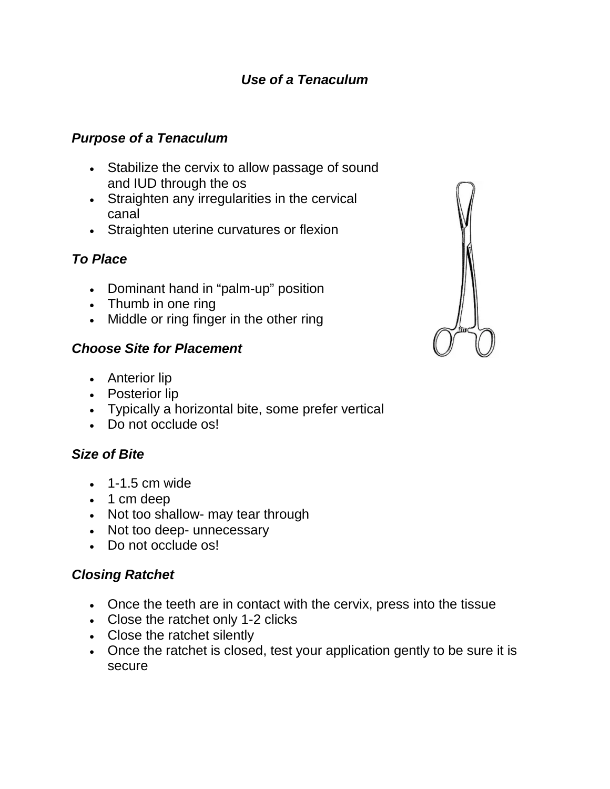## *Use of a Tenaculum*

#### *Purpose of a Tenaculum*

- Stabilize the cervix to allow passage of sound and IUD through the os
- Straighten any irregularities in the cervical canal
- Straighten uterine curvatures or flexion

# *To Place*

- Dominant hand in "palm-up" position
- Thumb in one ring
- Middle or ring finger in the other ring

#### *Choose Site for Placement*

- Anterior lip
- Posterior lip
- Typically a horizontal bite, some prefer vertical
- Do not occlude os!

### *Size of Bite*

- $\cdot$  1-1.5 cm wide
- 1 cm deep
- Not too shallow- may tear through
- Not too deep- unnecessary
- Do not occlude os!

### *Closing Ratchet*

- Once the teeth are in contact with the cervix, press into the tissue
- Close the ratchet only 1-2 clicks
- Close the ratchet silently
- Once the ratchet is closed, test your application gently to be sure it is secure